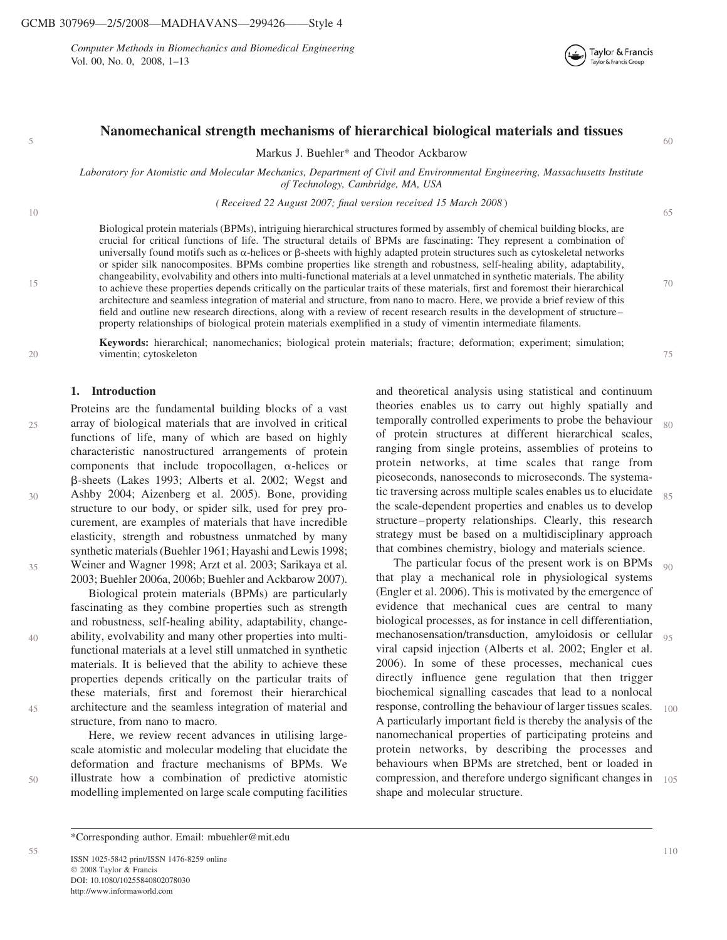Computer Methods in Biomechanics and Biomedical Engineering Vol. 00, No. 0, 2008, 1–13



60

65

70

75

## Nanomechanical strength mechanisms of hierarchical biological materials and tissues

Markus J. Buehler\* and Theodor Ackbarow

Laboratory for Atomistic and Molecular Mechanics, Department of Civil and Environmental Engineering, Massachusetts Institute of Technology, Cambridge, MA, USA

( Received 22 August 2007; final version received 15 March 2008 )

Biological protein materials (BPMs), intriguing hierarchical structures formed by assembly of chemical building blocks, are crucial for critical functions of life. The structural details of BPMs are fascinating: They represent a combination of universally found motifs such as  $\alpha$ -helices or  $\beta$ -sheets with highly adapted protein structures such as cytoskeletal networks or spider silk nanocomposites. BPMs combine properties like strength and robustness, self-healing ability, adaptability, changeability, evolvability and others into multi-functional materials at a level unmatched in synthetic materials. The ability to achieve these properties depends critically on the particular traits of these materials, first and foremost their hierarchical architecture and seamless integration of material and structure, from nano to macro. Here, we provide a brief review of this field and outline new research directions, along with a review of recent research results in the development of structure– property relationships of biological protein materials exemplified in a study of vimentin intermediate filaments.

Keywords: hierarchical; nanomechanics; biological protein materials; fracture; deformation; experiment; simulation; vimentin; cytoskeleton

### 1. Introduction

5

10

15

20

 $25$ 

30

35

40

45

50

55

Proteins are the fundamental building blocks of a vast array of biological materials that are involved in critical functions of life, many of which are based on highly characteristic nanostructured arrangements of protein components that include tropocollagen,  $\alpha$ -helices or b-sheets (Lakes 1993; Alberts et al. 2002; Wegst and Ashby 2004; Aizenberg et al. 2005). Bone, providing structure to our body, or spider silk, used for prey procurement, are examples of materials that have incredible elasticity, strength and robustness unmatched by many synthetic materials (Buehler 1961; Hayashi and Lewis 1998; Weiner and Wagner 1998; Arzt et al. 2003; Sarikaya et al. 2003; Buehler 2006a, 2006b; Buehler and Ackbarow 2007).

Biological protein materials (BPMs) are particularly fascinating as they combine properties such as strength and robustness, self-healing ability, adaptability, changeability, evolvability and many other properties into multifunctional materials at a level still unmatched in synthetic materials. It is believed that the ability to achieve these properties depends critically on the particular traits of these materials, first and foremost their hierarchical architecture and the seamless integration of material and structure, from nano to macro.

Here, we review recent advances in utilising largescale atomistic and molecular modeling that elucidate the deformation and fracture mechanisms of BPMs. We illustrate how a combination of predictive atomistic modelling implemented on large scale computing facilities and theoretical analysis using statistical and continuum theories enables us to carry out highly spatially and temporally controlled experiments to probe the behaviour of protein structures at different hierarchical scales, ranging from single proteins, assemblies of proteins to protein networks, at time scales that range from picoseconds, nanoseconds to microseconds. The systematic traversing across multiple scales enables us to elucidate <sub>85</sub> the scale-dependent properties and enables us to develop structure–property relationships. Clearly, this research strategy must be based on a multidisciplinary approach that combines chemistry, biology and materials science. 80

The particular focus of the present work is on BPMs that play a mechanical role in physiological systems (Engler et al. 2006). This is motivated by the emergence of evidence that mechanical cues are central to many biological processes, as for instance in cell differentiation, mechanosensation/transduction, amyloidosis or cellular <sub>95</sub> viral capsid injection (Alberts et al. 2002; Engler et al. 2006). In some of these processes, mechanical cues directly influence gene regulation that then trigger biochemical signalling cascades that lead to a nonlocal response, controlling the behaviour of larger tissues scales. A particularly important field is thereby the analysis of the nanomechanical properties of participating proteins and protein networks, by describing the processes and behaviours when BPMs are stretched, bent or loaded in compression, and therefore undergo significant changes in shape and molecular structure. 90 100 105

ISSN 1025-5842 print/ISSN 1476-8259 online  $© 2008 Taylor & Francis$ DOI: 10.1080/10255840802078030 http://www.informaworld.com

<sup>\*</sup>Corresponding author. Email: mbuehler@mit.edu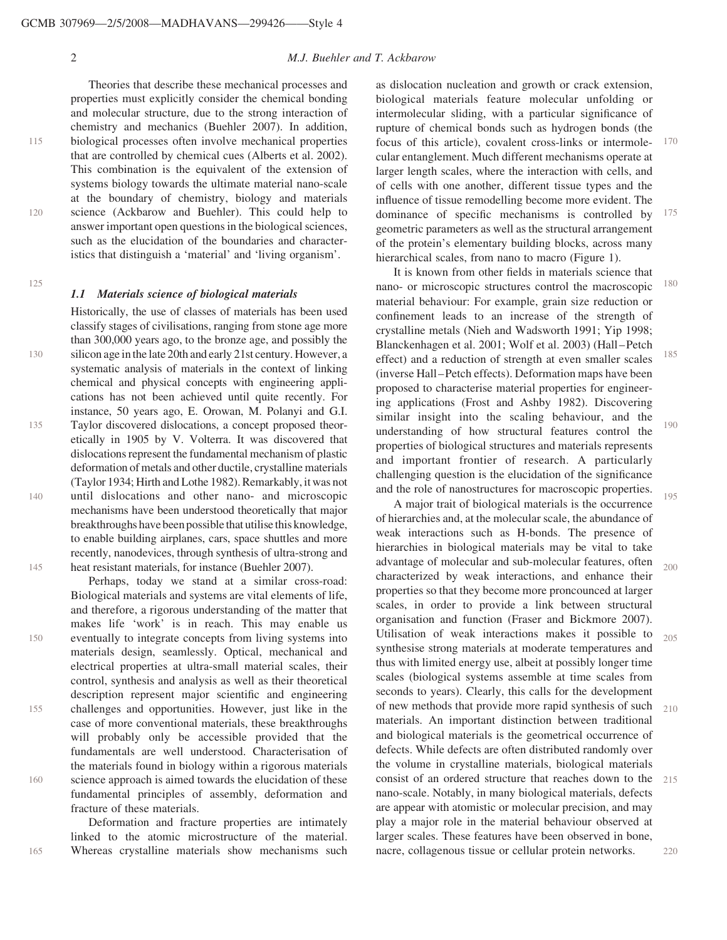## 2 M.J. Buehler and T. Ackbarow

Theories that describe these mechanical processes and properties must explicitly consider the chemical bonding and molecular structure, due to the strong interaction of chemistry and mechanics (Buehler 2007). In addition, biological processes often involve mechanical properties that are controlled by chemical cues (Alberts et al. 2002). This combination is the equivalent of the extension of systems biology towards the ultimate material nano-scale at the boundary of chemistry, biology and materials science (Ackbarow and Buehler). This could help to answer important open questions in the biological sciences, such as the elucidation of the boundaries and characteristics that distinguish a 'material' and 'living organism'.

125

120

115

## 1.1 Materials science of biological materials

Historically, the use of classes of materials has been used classify stages of civilisations, ranging from stone age more than 300,000 years ago, to the bronze age, and possibly the silicon age in the late 20th and early 21st century. However, a systematic analysis of materials in the context of linking chemical and physical concepts with engineering applications has not been achieved until quite recently. For instance, 50 years ago, E. Orowan, M. Polanyi and G.I. Taylor discovered dislocations, a concept proposed theoretically in 1905 by V. Volterra. It was discovered that dislocations represent the fundamental mechanism of plastic deformation of metals and other ductile, crystalline materials (Taylor 1934; Hirth and Lothe 1982). Remarkably, it was not until dislocations and other nano- and microscopic mechanisms have been understood theoretically that major breakthroughs have been possible that utilise this knowledge, to enable building airplanes, cars, space shuttles and more recently, nanodevices, through synthesis of ultra-strong and heat resistant materials, for instance (Buehler 2007). 130 135 140 145

Perhaps, today we stand at a similar cross-road: Biological materials and systems are vital elements of life, and therefore, a rigorous understanding of the matter that makes life 'work' is in reach. This may enable us eventually to integrate concepts from living systems into materials design, seamlessly. Optical, mechanical and electrical properties at ultra-small material scales, their control, synthesis and analysis as well as their theoretical description represent major scientific and engineering challenges and opportunities. However, just like in the case of more conventional materials, these breakthroughs will probably only be accessible provided that the fundamentals are well understood. Characterisation of the materials found in biology within a rigorous materials science approach is aimed towards the elucidation of these fundamental principles of assembly, deformation and fracture of these materials.

Deformation and fracture properties are intimately linked to the atomic microstructure of the material. Whereas crystalline materials show mechanisms such as dislocation nucleation and growth or crack extension, biological materials feature molecular unfolding or intermolecular sliding, with a particular significance of rupture of chemical bonds such as hydrogen bonds (the focus of this article), covalent cross-links or intermolecular entanglement. Much different mechanisms operate at larger length scales, where the interaction with cells, and of cells with one another, different tissue types and the influence of tissue remodelling become more evident. The dominance of specific mechanisms is controlled by geometric parameters as well as the structural arrangement of the protein's elementary building blocks, across many hierarchical scales, from nano to macro (Figure 1). 170 175

It is known from other fields in materials science that nano- or microscopic structures control the macroscopic material behaviour: For example, grain size reduction or confinement leads to an increase of the strength of crystalline metals (Nieh and Wadsworth 1991; Yip 1998; Blanckenhagen et al. 2001; Wolf et al. 2003) (Hall–Petch effect) and a reduction of strength at even smaller scales (inverse Hall–Petch effects). Deformation maps have been proposed to characterise material properties for engineering applications (Frost and Ashby 1982). Discovering similar insight into the scaling behaviour, and the understanding of how structural features control the properties of biological structures and materials represents and important frontier of research. A particularly challenging question is the elucidation of the significance and the role of nanostructures for macroscopic properties. 180 185 190 195

A major trait of biological materials is the occurrence of hierarchies and, at the molecular scale, the abundance of weak interactions such as H-bonds. The presence of hierarchies in biological materials may be vital to take advantage of molecular and sub-molecular features, often characterized by weak interactions, and enhance their properties so that they become more proncounced at larger scales, in order to provide a link between structural organisation and function (Fraser and Bickmore 2007). Utilisation of weak interactions makes it possible to synthesise strong materials at moderate temperatures and thus with limited energy use, albeit at possibly longer time scales (biological systems assemble at time scales from seconds to years). Clearly, this calls for the development of new methods that provide more rapid synthesis of such  $_{210}$ materials. An important distinction between traditional and biological materials is the geometrical occurrence of defects. While defects are often distributed randomly over the volume in crystalline materials, biological materials consist of an ordered structure that reaches down to the 215 nano-scale. Notably, in many biological materials, defects are appear with atomistic or molecular precision, and may play a major role in the material behaviour observed at larger scales. These features have been observed in bone, nacre, collagenous tissue or cellular protein networks.  $200$ 205 220



150

155

165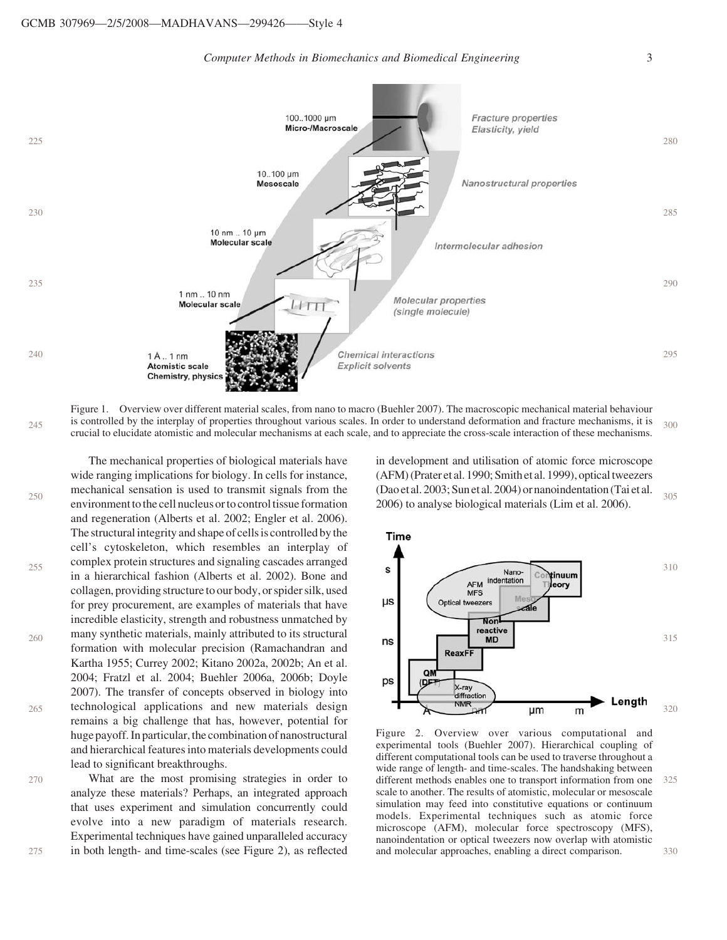#### Computer Methods in Biomechanics and Biomedical Engineering 3



Figure 1. Overview over different material scales, from nano to macro (Buehler 2007). The macroscopic mechanical material behaviour is controlled by the interplay of properties throughout various scales. In order to understand deformation and fracture mechanisms, it is crucial to elucidate atomistic and molecular mechanisms at each scale, and to appreciate the cross-scale interaction of these mechanisms. 245 300

The mechanical properties of biological materials have wide ranging implications for biology. In cells for instance, mechanical sensation is used to transmit signals from the environment to the cell nucleus or to control tissue formation and regeneration (Alberts et al. 2002; Engler et al. 2006). The structural integrity and shape of cells is controlled by the cell's cytoskeleton, which resembles an interplay of complex protein structures and signaling cascades arranged in a hierarchical fashion (Alberts et al. 2002). Bone and collagen, providing structure to our body, or spider silk, used for prey procurement, are examples of materials that have incredible elasticity, strength and robustness unmatched by many synthetic materials, mainly attributed to its structural formation with molecular precision (Ramachandran and Kartha 1955; Currey 2002; Kitano 2002a, 2002b; An et al. 2004; Fratzl et al. 2004; Buehler 2006a, 2006b; Doyle 2007). The transfer of concepts observed in biology into technological applications and new materials design remains a big challenge that has, however, potential for huge payoff. In particular, the combination of nanostructural and hierarchical features into materials developments could lead to significant breakthroughs. 250 255 260 265

What are the most promising strategies in order to analyze these materials? Perhaps, an integrated approach that uses experiment and simulation concurrently could evolve into a new paradigm of materials research. Experimental techniques have gained unparalleled accuracy in both length- and time-scales (see Figure 2), as reflected in development and utilisation of atomic force microscope (AFM) (Prater et al. 1990; Smith et al. 1999), optical tweezers (Daoetal. 2003; Sunetal. 2004) ornanoindentation(Taietal. 2006) to analyse biological materials (Lim et al. 2006). 305



Figure 2. Overview over various computational and experimental tools (Buehler 2007). Hierarchical coupling of different computational tools can be used to traverse throughout a wide range of length- and time-scales. The handshaking between different methods enables one to transport information from one scale to another. The results of atomistic, molecular or mesoscale simulation may feed into constitutive equations or continuum models. Experimental techniques such as atomic force microscope (AFM), molecular force spectroscopy (MFS), nanoindentation or optical tweezers now overlap with atomistic and molecular approaches, enabling a direct comparison. 325 330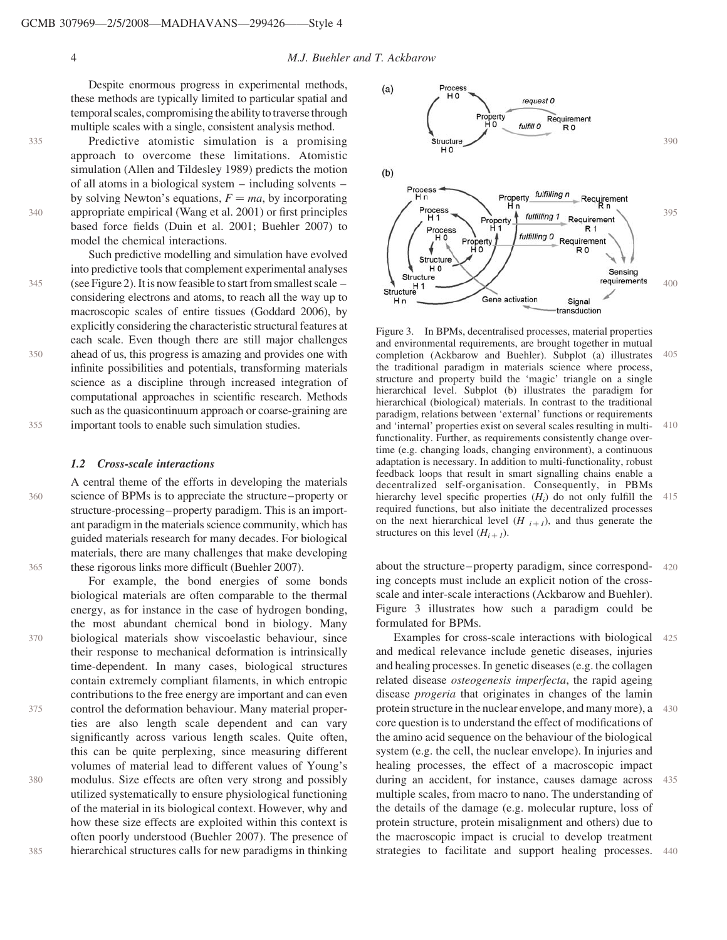340

345

350

Despite enormous progress in experimental methods, these methods are typically limited to particular spatial and temporal scales, compromising the ability to traverse through multiple scales with a single, consistent analysis method.

Predictive atomistic simulation is a promising approach to overcome these limitations. Atomistic simulation (Allen and Tildesley 1989) predicts the motion of all atoms in a biological system – including solvents – by solving Newton's equations,  $F = ma$ , by incorporating appropriate empirical (Wang et al. 2001) or first principles based force fields (Duin et al. 2001; Buehler 2007) to model the chemical interactions.

Such predictive modelling and simulation have evolved into predictive tools that complement experimental analyses (see Figure 2). It is now feasible to start from smallest scale – considering electrons and atoms, to reach all the way up to macroscopic scales of entire tissues (Goddard 2006), by explicitly considering the characteristic structural features at each scale. Even though there are still major challenges ahead of us, this progress is amazing and provides one with infinite possibilities and potentials, transforming materials science as a discipline through increased integration of computational approaches in scientific research. Methods such as the quasicontinuum approach or coarse-graining are important tools to enable such simulation studies.

355

360

365

370

375

380

## 1.2 Cross-scale interactions

A central theme of the efforts in developing the materials science of BPMs is to appreciate the structure–property or structure-processing–property paradigm. This is an important paradigm in the materials science community, which has guided materials research for many decades. For biological materials, there are many challenges that make developing these rigorous links more difficult (Buehler 2007).

For example, the bond energies of some bonds biological materials are often comparable to the thermal energy, as for instance in the case of hydrogen bonding, the most abundant chemical bond in biology. Many biological materials show viscoelastic behaviour, since their response to mechanical deformation is intrinsically time-dependent. In many cases, biological structures contain extremely compliant filaments, in which entropic contributions to the free energy are important and can even control the deformation behaviour. Many material properties are also length scale dependent and can vary significantly across various length scales. Quite often, this can be quite perplexing, since measuring different volumes of material lead to different values of Young's modulus. Size effects are often very strong and possibly utilized systematically to ensure physiological functioning of the material in its biological context. However, why and how these size effects are exploited within this context is often poorly understood (Buehler 2007). The presence of hierarchical structures calls for new paradigms in thinking



Figure 3. In BPMs, decentralised processes, material properties and environmental requirements, are brought together in mutual completion (Ackbarow and Buehler). Subplot (a) illustrates the traditional paradigm in materials science where process, structure and property build the 'magic' triangle on a single hierarchical level. Subplot (b) illustrates the paradigm for hierarchical (biological) materials. In contrast to the traditional paradigm, relations between 'external' functions or requirements and 'internal' properties exist on several scales resulting in multifunctionality. Further, as requirements consistently change overtime (e.g. changing loads, changing environment), a continuous adaptation is necessary. In addition to multi-functionality, robust feedback loops that result in smart signalling chains enable a decentralized self-organisation. Consequently, in PBMs hierarchy level specific properties  $(H_i)$  do not only fulfill the  $415$ required functions, but also initiate the decentralized processes on the next hierarchical level  $(H_{i+1})$ , and thus generate the structures on this level  $(H_{i+1})$ . 405 410

about the structure–property paradigm, since corresponding concepts must include an explicit notion of the crossscale and inter-scale interactions (Ackbarow and Buehler). Figure 3 illustrates how such a paradigm could be formulated for BPMs. 420

Examples for cross-scale interactions with biological 425 and medical relevance include genetic diseases, injuries and healing processes. In genetic diseases (e.g. the collagen related disease osteogenesis imperfecta, the rapid ageing disease progeria that originates in changes of the lamin protein structure in the nuclear envelope, and many more), a 430 core question is to understand the effect of modifications of the amino acid sequence on the behaviour of the biological system (e.g. the cell, the nuclear envelope). In injuries and healing processes, the effect of a macroscopic impact during an accident, for instance, causes damage across multiple scales, from macro to nano. The understanding of the details of the damage (e.g. molecular rupture, loss of protein structure, protein misalignment and others) due to the macroscopic impact is crucial to develop treatment strategies to facilitate and support healing processes. 440435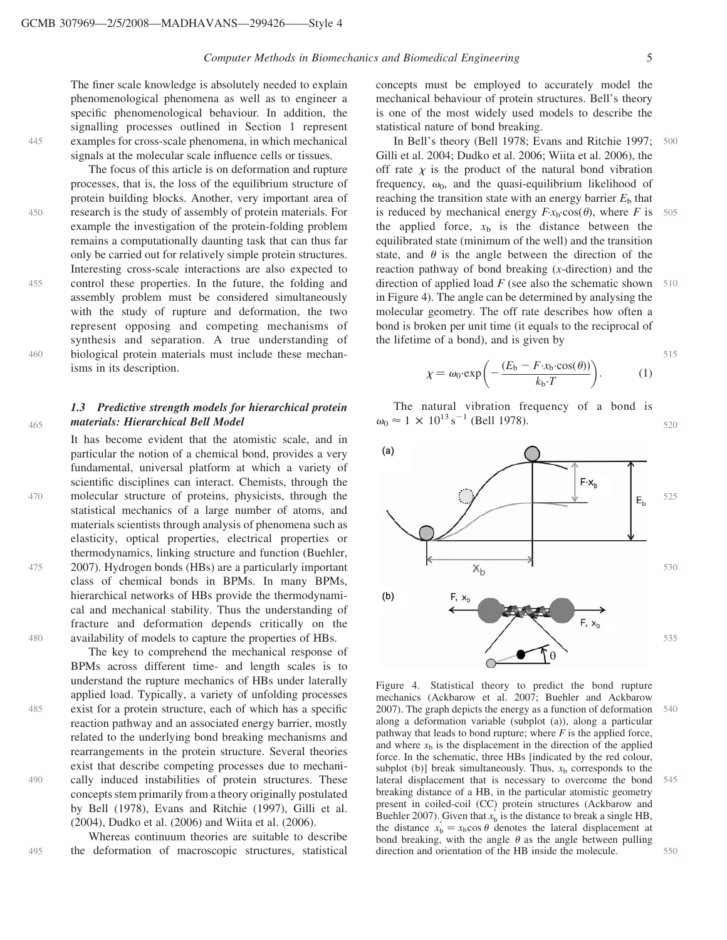The finer scale knowledge is absolutely needed to explain phenomenological phenomena as well as to engineer a specific phenomenological behaviour. In addition, the signalling processes outlined in Section 1 represent examples for cross-scale phenomena, in which mechanical signals at the molecular scale influence cells or tissues.

The focus of this article is on deformation and rupture processes, that is, the loss of the equilibrium structure of protein building blocks. Another, very important area of research is the study of assembly of protein materials. For example the investigation of the protein-folding problem remains a computationally daunting task that can thus far only be carried out for relatively simple protein structures. Interesting cross-scale interactions are also expected to control these properties. In the future, the folding and assembly problem must be considered simultaneously with the study of rupture and deformation, the two represent opposing and competing mechanisms of synthesis and separation. A true understanding of biological protein materials must include these mechanisms in its description.

## 1.3 Predictive strength models for hierarchical protein materials: Hierarchical Bell Model

It has become evident that the atomistic scale, and in particular the notion of a chemical bond, provides a very fundamental, universal platform at which a variety of scientific disciplines can interact. Chemists, through the molecular structure of proteins, physicists, through the statistical mechanics of a large number of atoms, and materials scientists through analysis of phenomena such as elasticity, optical properties, electrical properties or thermodynamics, linking structure and function (Buehler, 2007). Hydrogen bonds (HBs) are a particularly important class of chemical bonds in BPMs. In many BPMs, hierarchical networks of HBs provide the thermodynamical and mechanical stability. Thus the understanding of fracture and deformation depends critically on the availability of models to capture the properties of HBs.

The key to comprehend the mechanical response of BPMs across different time- and length scales is to understand the rupture mechanics of HBs under laterally applied load. Typically, a variety of unfolding processes exist for a protein structure, each of which has a specific reaction pathway and an associated energy barrier, mostly related to the underlying bond breaking mechanisms and rearrangements in the protein structure. Several theories exist that describe competing processes due to mechanically induced instabilities of protein structures. These concepts stem primarily from a theory originally postulated by Bell (1978), Evans and Ritchie (1997), Gilli et al. (2004), Dudko et al. (2006) and Wiita et al. (2006).

Whereas continuum theories are suitable to describe the deformation of macroscopic structures, statistical concepts must be employed to accurately model the mechanical behaviour of protein structures. Bell's theory is one of the most widely used models to describe the statistical nature of bond breaking.

In Bell's theory (Bell 1978; Evans and Ritchie 1997; 500 Gilli et al. 2004; Dudko et al. 2006; Wiita et al. 2006), the off rate  $\chi$  is the product of the natural bond vibration frequency,  $\omega_0$ , and the quasi-equilibrium likelihood of reaching the transition state with an energy barrier  $E<sub>b</sub>$  that is reduced by mechanical energy  $F \cdot x_b \cdot \cos(\theta)$ , where F is the applied force,  $x<sub>b</sub>$  is the distance between the equilibrated state (minimum of the well) and the transition state, and  $\theta$  is the angle between the direction of the reaction pathway of bond breaking (x-direction) and the direction of applied load  $F$  (see also the schematic shown  $510$ in Figure 4). The angle can be determined by analysing the molecular geometry. The off rate describes how often a bond is broken per unit time (it equals to the reciprocal of the lifetime of a bond), and is given by 505

$$
\chi = \omega_0 \cdot \exp\left(-\frac{(E_b - F \cdot x_b \cdot \cos(\theta))}{k_b \cdot T}\right). \tag{1}
$$

The natural vibration frequency of a bond is  $\omega_0 \approx 1 \times 10^{13} \,\mathrm{s}^{-1}$  (Bell 1978). 520



Figure 4. Statistical theory to predict the bond rupture mechanics (Ackbarow et al. 2007; Buehler and Ackbarow 2007). The graph depicts the energy as a function of deformation along a deformation variable (subplot (a)), along a particular pathway that leads to bond rupture; where  $F$  is the applied force, and where  $x<sub>b</sub>$  is the displacement in the direction of the applied force. In the schematic, three HBs [indicated by the red colour, subplot (b)] break simultaneously. Thus,  $x<sub>b</sub>$  corresponds to the lateral displacement that is necessary to overcome the bond breaking distance of a HB, in the particular atomistic geometry present in coiled-coil (CC) protein structures (Ackbarow and Buehler 2007). Given that  $x_b^*$  is the distance to break a single HB, the distance  $x_b^* = x_b \cos \theta$  denotes the lateral displacement at bond breaking, with the angle  $\theta$  as the angle between pulling direction and orientation of the HB inside the molecule. 540 545 550

445

450

455

460

465



475

480

485

490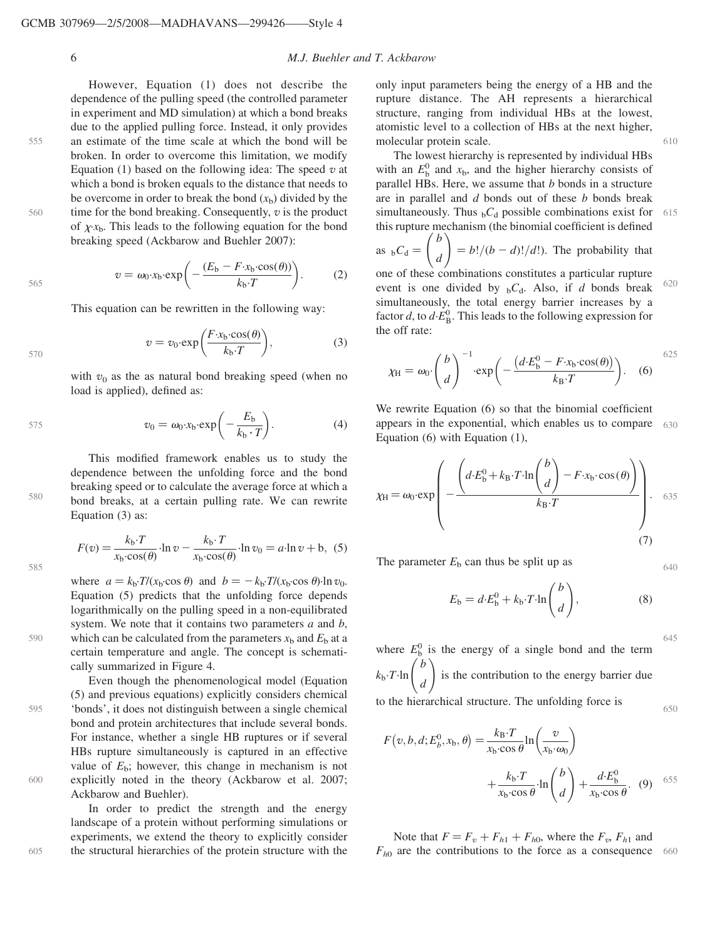## 6 M.J. Buehler and T. Ackbarow

However, Equation (1) does not describe the dependence of the pulling speed (the controlled parameter in experiment and MD simulation) at which a bond breaks due to the applied pulling force. Instead, it only provides an estimate of the time scale at which the bond will be broken. In order to overcome this limitation, we modify Equation (1) based on the following idea: The speed  $v$  at which a bond is broken equals to the distance that needs to be overcome in order to break the bond  $(x_b)$  divided by the time for the bond breaking. Consequently,  $v$  is the product of  $\chi x_b$ . This leads to the following equation for the bond breaking speed (Ackbarow and Buehler 2007):

$$
565\,
$$

570

575

555

560

$$
v = \omega_0 \cdot x_b \cdot \exp\left(-\frac{(E_b - F \cdot x_b \cdot \cos(\theta))}{k_b \cdot T}\right). \tag{2}
$$

This equation can be rewritten in the following way:

$$
v = v_0 \cdot \exp\left(\frac{F \cdot x_b \cdot \cos(\theta)}{k_b \cdot T}\right),\tag{3}
$$

with  $v_0$  as the as natural bond breaking speed (when no load is applied), defined as:

$$
v_0 = \omega_0 \cdot x_b \cdot \exp\left(-\frac{E_b}{k_b \cdot T}\right). \tag{4}
$$

This modified framework enables us to study the dependence between the unfolding force and the bond breaking speed or to calculate the average force at which a bond breaks, at a certain pulling rate. We can rewrite Equation (3) as:

$$
F(v) = \frac{k_{b} \cdot T}{x_{b} \cdot \cos(\theta)} \cdot \ln v - \frac{k_{b} \cdot T}{x_{b} \cdot \cos(\theta)} \cdot \ln v_{0} = a \cdot \ln v + b, (5)
$$

where  $a = k_b \cdot T/(x_b \cdot \cos \theta)$  and  $b = -k_b \cdot T/(x_b \cdot \cos \theta) \cdot \ln v_0$ . Equation (5) predicts that the unfolding force depends logarithmically on the pulling speed in a non-equilibrated system. We note that it contains two parameters  $a$  and  $b$ , which can be calculated from the parameters  $x<sub>b</sub>$  and  $E<sub>b</sub>$  at a certain temperature and angle. The concept is schematically summarized in Figure 4.

Even though the phenomenological model (Equation (5) and previous equations) explicitly considers chemical 'bonds', it does not distinguish between a single chemical bond and protein architectures that include several bonds. For instance, whether a single HB ruptures or if several HBs rupture simultaneously is captured in an effective value of  $E_b$ ; however, this change in mechanism is not explicitly noted in the theory (Ackbarow et al. 2007; Ackbarow and Buehler).

In order to predict the strength and the energy landscape of a protein without performing simulations or experiments, we extend the theory to explicitly consider the structural hierarchies of the protein structure with the only input parameters being the energy of a HB and the rupture distance. The AH represents a hierarchical structure, ranging from individual HBs at the lowest, atomistic level to a collection of HBs at the next higher, molecular protein scale.

The lowest hierarchy is represented by individual HBs with an  $E_b^0$  and  $x_b$ , and the higher hierarchy consists of parallel HBs. Here, we assume that  $b$  bonds in a structure are in parallel and  $d$  bonds out of these  $b$  bonds break simultaneously. Thus  ${}_{b}C_{d}$  possible combinations exist for this rupture mechanism (the binomial coefficient is defined 615

as 
$$
{}_{b}C_{d} = \binom{b}{d} = b!/(b-d)!/d!.
$$
 The probability that

one of these combinations constitutes a particular rupture event is one divided by  $_bC_d$ . Also, if d bonds break simultaneously, the total energy barrier increases by a factor d, to  $dE^0_B$ . This leads to the following expression for the off rate: 620

$$
\chi_{\rm H} = \omega_0 \cdot \binom{b}{d}^{-1} \cdot \exp\left(-\frac{\left(d \cdot E_{\rm b}^0 - F \cdot x_{\rm b} \cdot \cos(\theta)\right)}{k_{\rm B} \cdot T}\right). \quad (6)
$$

We rewrite Equation (6) so that the binomial coefficient appears in the exponential, which enables us to compare 630 Equation (6) with Equation (1),

$$
\chi_{\rm H} = \omega_0 \cdot \exp\left(-\frac{\left(d \cdot E_{\rm b}^0 + k_{\rm B} \cdot T \cdot \ln\left(\frac{b}{d}\right) - F \cdot x_{\rm b} \cdot \cos(\theta)\right)}{k_{\rm B} \cdot T}\right). \quad (35)
$$

The parameter  $E<sub>b</sub>$  can thus be split up as

$$
E_{\rm b} = d \cdot E_{\rm b}^0 + k_{\rm b} \cdot T \cdot \ln\left(\frac{b}{d}\right),\tag{8}
$$

645

640

610

where  $E_b^0$  is the energy of a single bond and the term  $k_{\rm b}$ · $T$ ·ln b d  $\frac{L_{b}}{L_{b}}$ is the contribution to the energy barrier due to the hierarchical structure. The unfolding force is

650

$$
F(v, b, d; E_b^0, x_b, \theta) = \frac{k_B \cdot T}{x_b \cdot \cos \theta} \ln \left( \frac{v}{x_b \cdot \omega_0} \right)
$$

$$
+ \frac{k_b \cdot T}{x_b \cdot \cos \theta} \cdot \ln \left( \frac{b}{d} \right) + \frac{d \cdot E_b^0}{x_b \cdot \cos \theta}. \quad (9) \quad 655
$$

Note that  $F = F_v + F_{h1} + F_{h0}$ , where the  $F_v$ ,  $F_{h1}$  and  $F_{h0}$  are the contributions to the force as a consequence 660

580

585

590

595

605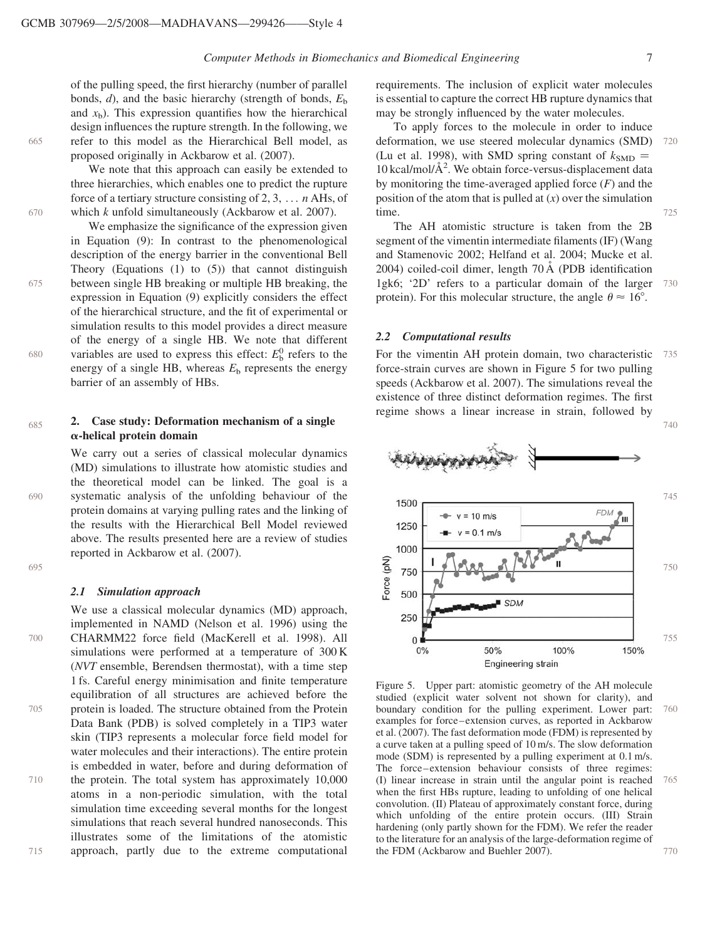of the pulling speed, the first hierarchy (number of parallel bonds,  $d$ ), and the basic hierarchy (strength of bonds,  $E<sub>b</sub>$ and  $x<sub>b</sub>$ ). This expression quantifies how the hierarchical design influences the rupture strength. In the following, we refer to this model as the Hierarchical Bell model, as proposed originally in Ackbarow et al. (2007).

We note that this approach can easily be extended to three hierarchies, which enables one to predict the rupture force of a tertiary structure consisting of 2, 3,  $\dots$  n AHs, of which k unfold simultaneously (Ackbarow et al. 2007).

We emphasize the significance of the expression given in Equation (9): In contrast to the phenomenological description of the energy barrier in the conventional Bell Theory (Equations (1) to (5)) that cannot distinguish between single HB breaking or multiple HB breaking, the expression in Equation (9) explicitly considers the effect of the hierarchical structure, and the fit of experimental or simulation results to this model provides a direct measure of the energy of a single HB. We note that different variables are used to express this effect:  $E_b^0$  refers to the energy of a single HB, whereas  $E<sub>b</sub>$  represents the energy barrier of an assembly of HBs.

#### 2. Case study: Deformation mechanism of a single *a*-helical protein domain 685

We carry out a series of classical molecular dynamics (MD) simulations to illustrate how atomistic studies and the theoretical model can be linked. The goal is a systematic analysis of the unfolding behaviour of the protein domains at varying pulling rates and the linking of the results with the Hierarchical Bell Model reviewed above. The results presented here are a review of studies reported in Ackbarow et al. (2007).

#### 2.1 Simulation approach

We use a classical molecular dynamics (MD) approach, implemented in NAMD (Nelson et al. 1996) using the CHARMM22 force field (MacKerell et al. 1998). All simulations were performed at a temperature of 300 K (NVT ensemble, Berendsen thermostat), with a time step 1 fs. Careful energy minimisation and finite temperature equilibration of all structures are achieved before the protein is loaded. The structure obtained from the Protein Data Bank (PDB) is solved completely in a TIP3 water skin (TIP3 represents a molecular force field model for water molecules and their interactions). The entire protein is embedded in water, before and during deformation of the protein. The total system has approximately 10,000 atoms in a non-periodic simulation, with the total simulation time exceeding several months for the longest simulations that reach several hundred nanoseconds. This illustrates some of the limitations of the atomistic approach, partly due to the extreme computational 700 705 710

requirements. The inclusion of explicit water molecules is essential to capture the correct HB rupture dynamics that may be strongly influenced by the water molecules.

To apply forces to the molecule in order to induce deformation, we use steered molecular dynamics (SMD) 720 (Lu et al. 1998), with SMD spring constant of  $k_{\text{SMD}} =$ 10 kcal/mol/Å<sup>2</sup>. We obtain force-versus-displacement data by monitoring the time-averaged applied force  $(F)$  and the position of the atom that is pulled at  $(x)$  over the simulation time. 725

The AH atomistic structure is taken from the 2B segment of the vimentin intermediate filaments (IF) (Wang and Stamenovic 2002; Helfand et al. 2004; Mucke et al. 2004) coiled-coil dimer, length  $70 \text{ Å}$  (PDB identification 1gk6; '2D' refers to a particular domain of the larger 730 protein). For this molecular structure, the angle  $\theta \approx 16^{\circ}$ .

#### 2.2 Computational results

For the vimentin AH protein domain, two characteristic force-strain curves are shown in Figure 5 for two pulling speeds (Ackbarow et al. 2007). The simulations reveal the existence of three distinct deformation regimes. The first regime shows a linear increase in strain, followed by 735



Figure 5. Upper part: atomistic geometry of the AH molecule studied (explicit water solvent not shown for clarity), and boundary condition for the pulling experiment. Lower part: examples for force–extension curves, as reported in Ackbarow et al. (2007). The fast deformation mode (FDM) is represented by a curve taken at a pulling speed of 10 m/s. The slow deformation mode (SDM) is represented by a pulling experiment at 0.1 m/s. The force–extension behaviour consists of three regimes: (I) linear increase in strain until the angular point is reached when the first HBs rupture, leading to unfolding of one helical convolution. (II) Plateau of approximately constant force, during which unfolding of the entire protein occurs. (III) Strain hardening (only partly shown for the FDM). We refer the reader to the literature for an analysis of the large-deformation regime of the FDM (Ackbarow and Buehler 2007). 760 765 770

665

670

675

680

690

695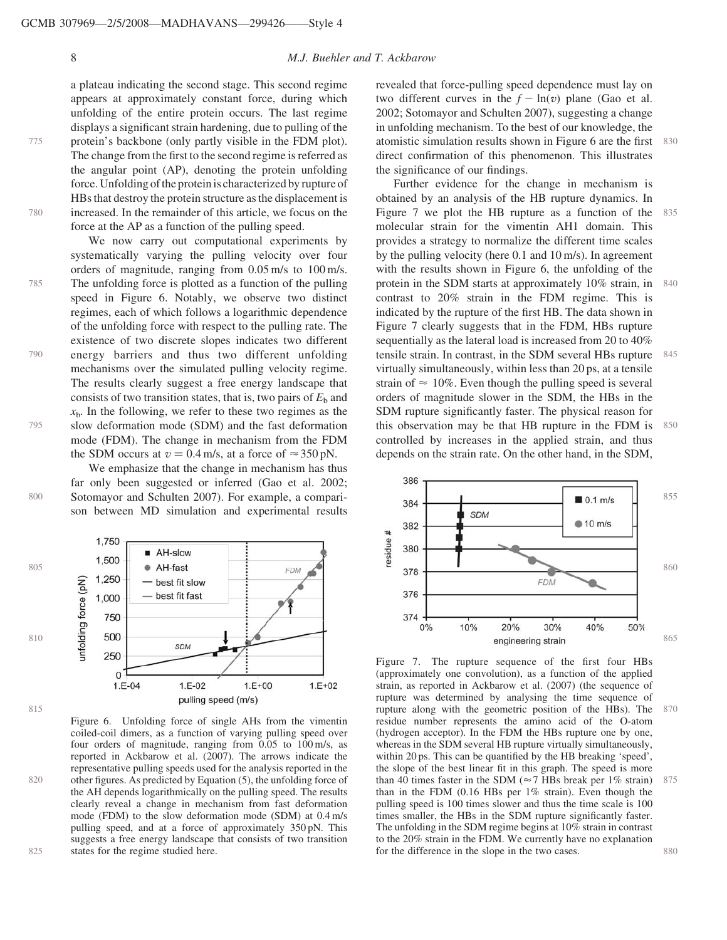780

785

790

795

800

805

810

815

820

## 8 M.J. Buehler and T. Ackbarow

a plateau indicating the second stage. This second regime appears at approximately constant force, during which unfolding of the entire protein occurs. The last regime displays a significant strain hardening, due to pulling of the protein's backbone (only partly visible in the FDM plot). The change from the first to the second regime is referred as the angular point (AP), denoting the protein unfolding force. Unfolding of the protein is characterized by rupture of HBs that destroy the protein structure as the displacement is increased. In the remainder of this article, we focus on the force at the AP as a function of the pulling speed.

We now carry out computational experiments by systematically varying the pulling velocity over four orders of magnitude, ranging from 0.05 m/s to 100 m/s. The unfolding force is plotted as a function of the pulling speed in Figure 6. Notably, we observe two distinct regimes, each of which follows a logarithmic dependence of the unfolding force with respect to the pulling rate. The existence of two discrete slopes indicates two different energy barriers and thus two different unfolding mechanisms over the simulated pulling velocity regime. The results clearly suggest a free energy landscape that consists of two transition states, that is, two pairs of  $E<sub>b</sub>$  and  $x<sub>b</sub>$ . In the following, we refer to these two regimes as the slow deformation mode (SDM) and the fast deformation mode (FDM). The change in mechanism from the FDM the SDM occurs at  $v = 0.4$  m/s, at a force of  $\approx 350$  pN.

We emphasize that the change in mechanism has thus far only been suggested or inferred (Gao et al. 2002; Sotomayor and Schulten 2007). For example, a comparison between MD simulation and experimental results



Figure 6. Unfolding force of single AHs from the vimentin coiled-coil dimers, as a function of varying pulling speed over four orders of magnitude, ranging from 0.05 to 100 m/s, as reported in Ackbarow et al. (2007). The arrows indicate the representative pulling speeds used for the analysis reported in the other figures. As predicted by Equation (5), the unfolding force of the AH depends logarithmically on the pulling speed. The results clearly reveal a change in mechanism from fast deformation mode (FDM) to the slow deformation mode (SDM) at 0.4 m/s pulling speed, and at a force of approximately 350 pN. This suggests a free energy landscape that consists of two transition states for the regime studied here.

revealed that force-pulling speed dependence must lay on two different curves in the  $f - \ln(v)$  plane (Gao et al. 2002; Sotomayor and Schulten 2007), suggesting a change in unfolding mechanism. To the best of our knowledge, the atomistic simulation results shown in Figure 6 are the first 830 direct confirmation of this phenomenon. This illustrates the significance of our findings.

Further evidence for the change in mechanism is obtained by an analysis of the HB rupture dynamics. In Figure 7 we plot the HB rupture as a function of the molecular strain for the vimentin AH1 domain. This provides a strategy to normalize the different time scales by the pulling velocity (here 0.1 and 10 m/s). In agreement with the results shown in Figure 6, the unfolding of the protein in the SDM starts at approximately 10% strain, in 840 contrast to 20% strain in the FDM regime. This is indicated by the rupture of the first HB. The data shown in Figure 7 clearly suggests that in the FDM, HBs rupture sequentially as the lateral load is increased from 20 to 40% tensile strain. In contrast, in the SDM several HBs rupture 845 virtually simultaneously, within less than 20 ps, at a tensile strain of  $\approx 10\%$ . Even though the pulling speed is several orders of magnitude slower in the SDM, the HBs in the SDM rupture significantly faster. The physical reason for this observation may be that HB rupture in the FDM is controlled by increases in the applied strain, and thus depends on the strain rate. On the other hand, in the SDM, 835 850



Figure 7. The rupture sequence of the first four HBs (approximately one convolution), as a function of the applied strain, as reported in Ackbarow et al. (2007) (the sequence of rupture was determined by analysing the time sequence of rupture along with the geometric position of the HBs). The 870 residue number represents the amino acid of the O-atom (hydrogen acceptor). In the FDM the HBs rupture one by one, whereas in the SDM several HB rupture virtually simultaneously, within 20 ps. This can be quantified by the HB breaking 'speed', the slope of the best linear fit in this graph. The speed is more than 40 times faster in the SDM ( $\approx$  7 HBs break per 1% strain) than in the FDM (0.16 HBs per 1% strain). Even though the pulling speed is 100 times slower and thus the time scale is 100 times smaller, the HBs in the SDM rupture significantly faster. The unfolding in the SDM regime begins at 10% strain in contrast to the 20% strain in the FDM. We currently have no explanation for the difference in the slope in the two cases. 875

825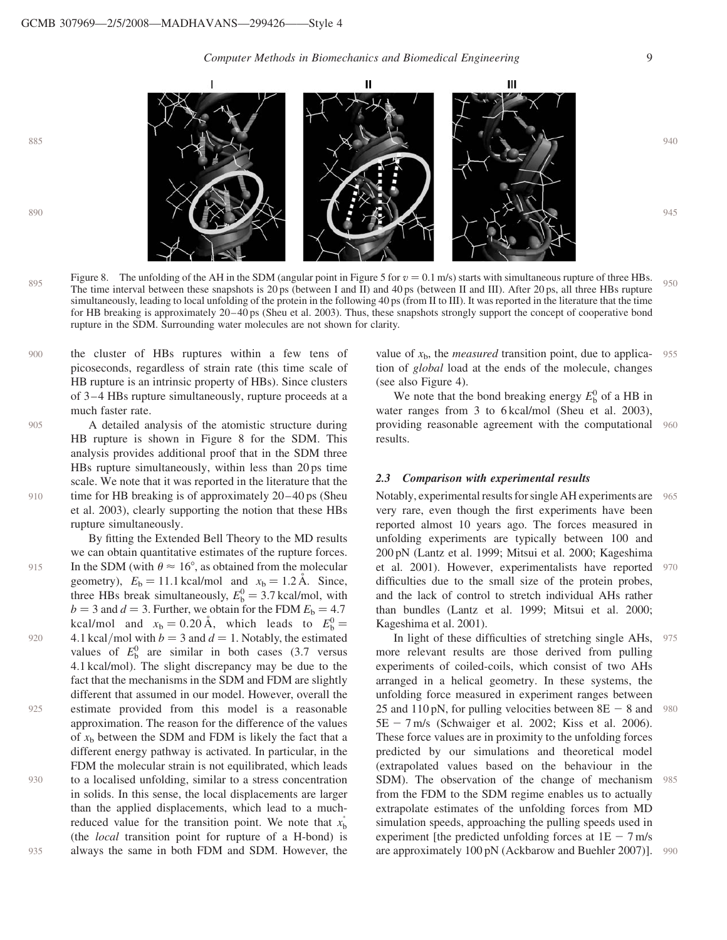Computer Methods in Biomechanics and Biomedical Engineering 9

940

945

 $950$ 

885

890

895



Figure 8. The unfolding of the AH in the SDM (angular point in Figure 5 for  $v = 0.1$  m/s) starts with simultaneous rupture of three HBs. The time interval between these snapshots is 20 ps (between I and II) and 40 ps (between II and III). After 20 ps, all three HBs rupture simultaneously, leading to local unfolding of the protein in the following 40 ps (from II to III). It was reported in the literature that the time for HB breaking is approximately 20–40 ps (Sheu et al. 2003). Thus, these snapshots strongly support the concept of cooperative bond rupture in the SDM. Surrounding water molecules are not shown for clarity.

the cluster of HBs ruptures within a few tens of picoseconds, regardless of strain rate (this time scale of HB rupture is an intrinsic property of HBs). Since clusters of 3–4 HBs rupture simultaneously, rupture proceeds at a much faster rate. 900

A detailed analysis of the atomistic structure during HB rupture is shown in Figure 8 for the SDM. This analysis provides additional proof that in the SDM three HBs rupture simultaneously, within less than 20 ps time scale. We note that it was reported in the literature that the time for HB breaking is of approximately 20–40 ps (Sheu et al. 2003), clearly supporting the notion that these HBs rupture simultaneously. 905 910

By fitting the Extended Bell Theory to the MD results we can obtain quantitative estimates of the rupture forces. In the SDM (with  $\theta \approx 16^{\circ}$ , as obtained from the molecular geometry),  $E_b = 11.1 \text{ kcal/mol}$  and  $x_b = 1.2 \text{ Å}$ . Since, three HBs break simultaneously,  $E_b^0 = 3.7 \text{ kcal/mol}$ , with  $b = 3$  and  $d = 3$ . Further, we obtain for the FDM  $E<sub>b</sub> = 4.7$ kcal/mol and  $x_b = 0.20 \text{ Å}$ , which leads to  $E_b^0 =$ 4.1 kcal/mol with  $b = 3$  and  $d = 1$ . Notably, the estimated values of  $E_b^0$  are similar in both cases (3.7 versus 4.1 kcal/mol). The slight discrepancy may be due to the fact that the mechanisms in the SDM and FDM are slightly different that assumed in our model. However, overall the estimate provided from this model is a reasonable approximation. The reason for the difference of the values of  $x<sub>b</sub>$  between the SDM and FDM is likely the fact that a different energy pathway is activated. In particular, in the FDM the molecular strain is not equilibrated, which leads to a localised unfolding, similar to a stress concentration in solids. In this sense, the local displacements are larger than the applied displacements, which lead to a muchreduced value for the transition point. We note that  $x_b^*$ (the local transition point for rupture of a H-bond) is always the same in both FDM and SDM. However, the 915 920 925 930 935

value of  $x<sub>b</sub>$ , the *measured* transition point, due to application of global load at the ends of the molecule, changes (see also Figure 4). 955

We note that the bond breaking energy  $E_b^0$  of a HB in water ranges from 3 to 6 kcal/mol (Sheu et al. 2003), providing reasonable agreement with the computational results. 960

#### 2.3 Comparison with experimental results

Notably, experimental results for single AH experiments are very rare, even though the first experiments have been reported almost 10 years ago. The forces measured in unfolding experiments are typically between 100 and 200 pN (Lantz et al. 1999; Mitsui et al. 2000; Kageshima et al. 2001). However, experimentalists have reported difficulties due to the small size of the protein probes, and the lack of control to stretch individual AHs rather than bundles (Lantz et al. 1999; Mitsui et al. 2000; Kageshima et al. 2001). 965 970

In light of these difficulties of stretching single AHs, more relevant results are those derived from pulling experiments of coiled-coils, which consist of two AHs arranged in a helical geometry. In these systems, the unfolding force measured in experiment ranges between 25 and 110 pN, for pulling velocities between  $8E - 8$  and  $5E - 7$  m/s (Schwaiger et al. 2002; Kiss et al. 2006). These force values are in proximity to the unfolding forces predicted by our simulations and theoretical model (extrapolated values based on the behaviour in the SDM). The observation of the change of mechanism from the FDM to the SDM regime enables us to actually extrapolate estimates of the unfolding forces from MD simulation speeds, approaching the pulling speeds used in experiment [the predicted unfolding forces at  $1E - 7$  m/s are approximately 100 pN (Ackbarow and Buehler 2007)]. 975 980 985 990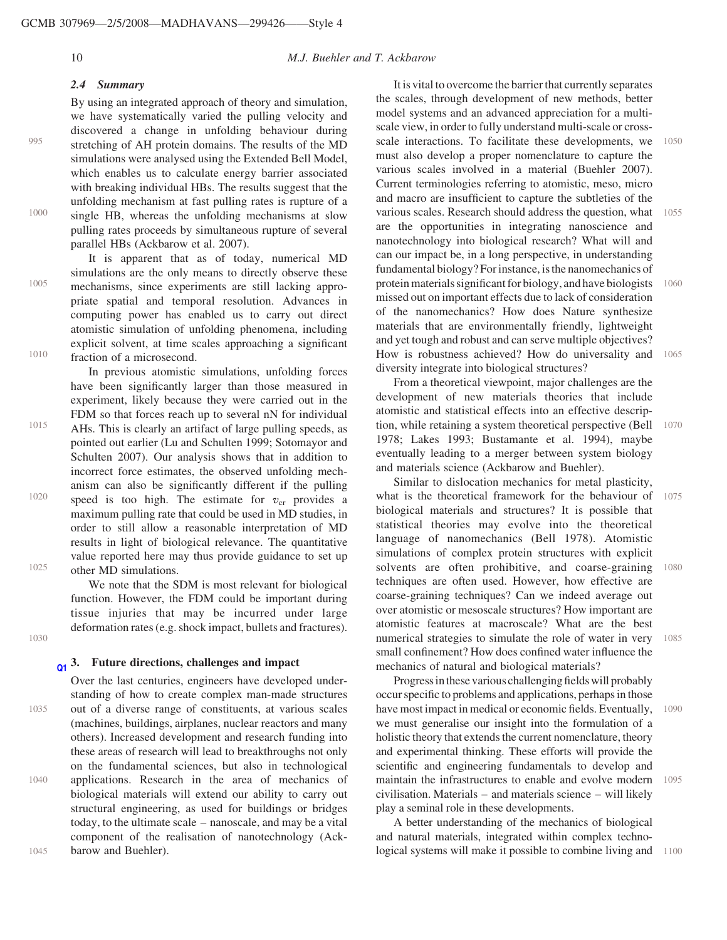1000

1005

1010

## 10 M.J. Buehler and T. Ackbarow

## 2.4 Summary

By using an integrated approach of theory and simulation, we have systematically varied the pulling velocity and discovered a change in unfolding behaviour during stretching of AH protein domains. The results of the MD simulations were analysed using the Extended Bell Model, which enables us to calculate energy barrier associated with breaking individual HBs. The results suggest that the unfolding mechanism at fast pulling rates is rupture of a single HB, whereas the unfolding mechanisms at slow pulling rates proceeds by simultaneous rupture of several parallel HBs (Ackbarow et al. 2007).

It is apparent that as of today, numerical MD simulations are the only means to directly observe these mechanisms, since experiments are still lacking appropriate spatial and temporal resolution. Advances in computing power has enabled us to carry out direct atomistic simulation of unfolding phenomena, including explicit solvent, at time scales approaching a significant fraction of a microsecond.

In previous atomistic simulations, unfolding forces have been significantly larger than those measured in experiment, likely because they were carried out in the FDM so that forces reach up to several nN for individual AHs. This is clearly an artifact of large pulling speeds, as pointed out earlier (Lu and Schulten 1999; Sotomayor and Schulten 2007). Our analysis shows that in addition to incorrect force estimates, the observed unfolding mechanism can also be significantly different if the pulling speed is too high. The estimate for  $v_{cr}$  provides a maximum pulling rate that could be used in MD studies, in order to still allow a reasonable interpretation of MD results in light of biological relevance. The quantitative value reported here may thus provide guidance to set up other MD simulations. 1015 1020 1025

> We note that the SDM is most relevant for biological function. However, the FDM could be important during tissue injuries that may be incurred under large deformation rates (e.g. shock impact, bullets and fractures).

1030

# $\frac{1}{21}$  3. Future directions, challenges and impact

Over the last centuries, engineers have developed understanding of how to create complex man-made structures out of a diverse range of constituents, at various scales (machines, buildings, airplanes, nuclear reactors and many others). Increased development and research funding into these areas of research will lead to breakthroughs not only on the fundamental sciences, but also in technological applications. Research in the area of mechanics of biological materials will extend our ability to carry out structural engineering, as used for buildings or bridges today, to the ultimate scale – nanoscale, and may be a vital component of the realisation of nanotechnology (Ackbarow and Buehler). 1035 1040

It is vital to overcome the barrier that currently separates the scales, through development of new methods, better model systems and an advanced appreciation for a multiscale view, in order to fully understand multi-scale or crossscale interactions. To facilitate these developments, we must also develop a proper nomenclature to capture the various scales involved in a material (Buehler 2007). Current terminologies referring to atomistic, meso, micro and macro are insufficient to capture the subtleties of the various scales. Research should address the question, what are the opportunities in integrating nanoscience and nanotechnology into biological research? What will and can our impact be, in a long perspective, in understanding fundamental biology? For instance, is the nanomechanics of protein materials significant for biology, and have biologists missed out on important effects due to lack of consideration of the nanomechanics? How does Nature synthesize materials that are environmentally friendly, lightweight and yet tough and robust and can serve multiple objectives? How is robustness achieved? How do universality and diversity integrate into biological structures? 1050 1055 1060 1065

From a theoretical viewpoint, major challenges are the development of new materials theories that include atomistic and statistical effects into an effective description, while retaining a system theoretical perspective (Bell 1978; Lakes 1993; Bustamante et al. 1994), maybe eventually leading to a merger between system biology and materials science (Ackbarow and Buehler).

Similar to dislocation mechanics for metal plasticity, what is the theoretical framework for the behaviour of biological materials and structures? It is possible that statistical theories may evolve into the theoretical language of nanomechanics (Bell 1978). Atomistic simulations of complex protein structures with explicit solvents are often prohibitive, and coarse-graining techniques are often used. However, how effective are coarse-graining techniques? Can we indeed average out over atomistic or mesoscale structures? How important are atomistic features at macroscale? What are the best numerical strategies to simulate the role of water in very small confinement? How does confined water influence the mechanics of natural and biological materials? 1075 1080 1085

Progress in these variouschallenging fields will probably occur specific to problems and applications, perhaps in those have most impact in medical or economic fields. Eventually, we must generalise our insight into the formulation of a holistic theory that extends the current nomenclature, theory and experimental thinking. These efforts will provide the scientific and engineering fundamentals to develop and maintain the infrastructures to enable and evolve modern civilisation. Materials – and materials science – will likely play a seminal role in these developments. 1090 1095

A better understanding of the mechanics of biological and natural materials, integrated within complex technological systems will make it possible to combine living and 1100

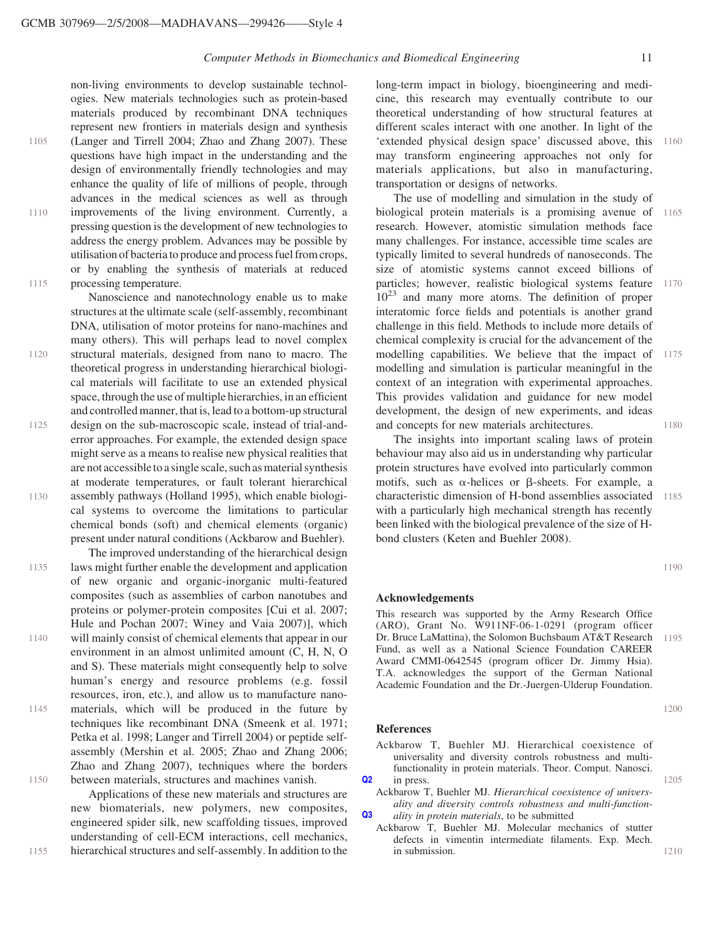non-living environments to develop sustainable technologies. New materials technologies such as protein-based materials produced by recombinant DNA techniques represent new frontiers in materials design and synthesis (Langer and Tirrell 2004; Zhao and Zhang 2007). These questions have high impact in the understanding and the design of environmentally friendly technologies and may enhance the quality of life of millions of people, through advances in the medical sciences as well as through improvements of the living environment. Currently, a pressing question is the development of new technologies to address the energy problem. Advances may be possible by utilisation of bacteria to produce and process fuel from crops, or by enabling the synthesis of materials at reduced processing temperature. 1105 1110 1115

Nanoscience and nanotechnology enable us to make structures at the ultimate scale (self-assembly, recombinant DNA, utilisation of motor proteins for nano-machines and many others). This will perhaps lead to novel complex structural materials, designed from nano to macro. The theoretical progress in understanding hierarchical biological materials will facilitate to use an extended physical space, through the use of multiple hierarchies, in an efficient and controlled manner, that is, lead to a bottom-up structural design on the sub-macroscopic scale, instead of trial-anderror approaches. For example, the extended design space might serve as a means to realise new physical realities that are not accessible to a single scale, such as material synthesis at moderate temperatures, or fault tolerant hierarchical assembly pathways (Holland 1995), which enable biological systems to overcome the limitations to particular chemical bonds (soft) and chemical elements (organic) present under natural conditions (Ackbarow and Buehler). 1120 1125 1130

The improved understanding of the hierarchical design laws might further enable the development and application of new organic and organic-inorganic multi-featured composites (such as assemblies of carbon nanotubes and proteins or polymer-protein composites [Cui et al. 2007; Hule and Pochan 2007; Winey and Vaia 2007)], which will mainly consist of chemical elements that appear in our environment in an almost unlimited amount (C, H, N, O and S). These materials might consequently help to solve human's energy and resource problems (e.g. fossil resources, iron, etc.), and allow us to manufacture nanomaterials, which will be produced in the future by techniques like recombinant DNA (Smeenk et al. 1971; Petka et al. 1998; Langer and Tirrell 2004) or peptide selfassembly (Mershin et al. 2005; Zhao and Zhang 2006; Zhao and Zhang 2007), techniques where the borders between materials, structures and machines vanish. 1135 1140 1145 1150

> Applications of these new materials and structures are new biomaterials, new polymers, new composites, engineered spider silk, new scaffolding tissues, improved understanding of cell-ECM interactions, cell mechanics, hierarchical structures and self-assembly. In addition to the

1155

long-term impact in biology, bioengineering and medicine, this research may eventually contribute to our theoretical understanding of how structural features at different scales interact with one another. In light of the 'extended physical design space' discussed above, this may transform engineering approaches not only for materials applications, but also in manufacturing, transportation or designs of networks. 1160

The use of modelling and simulation in the study of biological protein materials is a promising avenue of research. However, atomistic simulation methods face many challenges. For instance, accessible time scales are typically limited to several hundreds of nanoseconds. The size of atomistic systems cannot exceed billions of particles; however, realistic biological systems feature 1170  $10^{23}$  and many more atoms. The definition of proper interatomic force fields and potentials is another grand challenge in this field. Methods to include more details of chemical complexity is crucial for the advancement of the modelling capabilities. We believe that the impact of modelling and simulation is particular meaningful in the context of an integration with experimental approaches. This provides validation and guidance for new model development, the design of new experiments, and ideas and concepts for new materials architectures. 1165 1175 1180

The insights into important scaling laws of protein behaviour may also aid us in understanding why particular protein structures have evolved into particularly common motifs, such as  $\alpha$ -helices or  $\beta$ -sheets. For example, a characteristic dimension of H-bond assemblies associated 1185 with a particularly high mechanical strength has recently been linked with the biological prevalence of the size of Hbond clusters (Keten and Buehler 2008).

1190

#### Acknowledgements

This research was supported by the Army Research Office (ARO), Grant No. W911NF-06-1-0291 (program officer Dr. Bruce LaMattina), the Solomon Buchsbaum AT&T Research Fund, as well as a National Science Foundation CAREER Award CMMI-0642545 (program officer Dr. Jimmy Hsia). T.A. acknowledges the support of the German National Academic Foundation and the Dr.-Juergen-Ulderup Foundation. 1195

References

#### Ackbarow T, Buehler MJ. Hierarchical coexistence of universality and diversity controls robustness and multifunctionality in protein materials. Theor. Comput. Nanosci. Q<sub>2</sub> in press.

- Ackbarow T, Buehler MJ. Hierarchical coexistence of universality and diversity controls robustness and multi-function-**Q3** ality in protein materials, to be submitted
	- Ackbarow T, Buehler MJ. Molecular mechanics of stutter defects in vimentin intermediate filaments. Exp. Mech. in submission.

1200

1210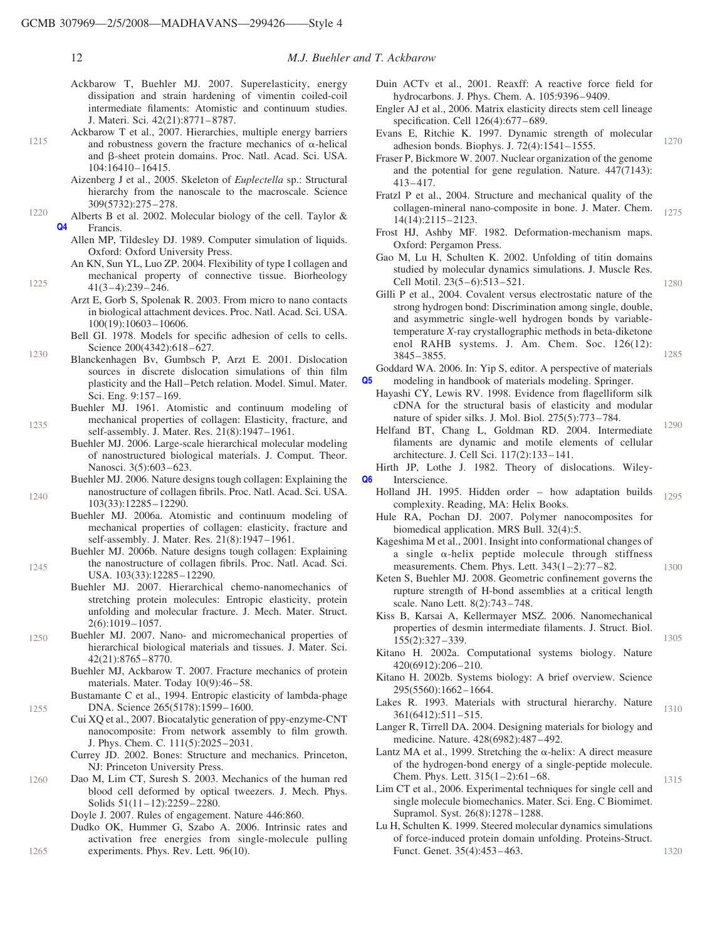1235

1240

1245

1255

- Ackbarow T, Buehler MJ. 2007. Superelasticity, energy dissipation and strain hardening of vimentin coiled-coil intermediate filaments: Atomistic and continuum studies. J. Materi. Sci. 42(21):8771–8787.
- Ackbarow T et al., 2007. Hierarchies, multiple energy barriers and robustness govern the fracture mechanics of  $\alpha$ -helical and  $\beta$ -sheet protein domains. Proc. Natl. Acad. Sci. USA. 104:16410–16415. 1215
	- Aizenberg J et al., 2005. Skeleton of Euplectella sp.: Structural hierarchy from the nanoscale to the macroscale. Science 309(5732):275–278.
- Alberts B et al. 2002. Molecular biology of the cell. Taylor & Q4 Francis. 1220
	- Allen MP, Tildesley DJ. 1989. Computer simulation of liquids. Oxford: Oxford University Press.
	- An KN, Sun YL, Luo ZP. 2004. Flexibility of type I collagen and mechanical property of connective tissue. Biorheology 41(3–4):239–246.
		- Arzt E, Gorb S, Spolenak R. 2003. From micro to nano contacts in biological attachment devices. Proc. Natl. Acad. Sci. USA. 100(19):10603–10606.
		- Bell GI. 1978. Models for specific adhesion of cells to cells. Science 200(4342):618–627.
- Blanckenhagen Bv, Gumbsch P, Arzt E. 2001. Dislocation sources in discrete dislocation simulations of thin film plasticity and the Hall–Petch relation. Model. Simul. Mater. Sci. Eng. 9:157–169. 1230
	- Buehler MJ. 1961. Atomistic and continuum modeling of mechanical properties of collagen: Elasticity, fracture, and self-assembly. J. Mater. Res. 21(8):1947–1961.
		- Buehler MJ. 2006. Large-scale hierarchical molecular modeling of nanostructured biological materials. J. Comput. Theor. Nanosci. 3(5):603–623.
		- Buehler MJ. 2006. Nature designs tough collagen: Explaining the nanostructure of collagen fibrils. Proc. Natl. Acad. Sci. USA. 103(33):12285–12290.
		- Buehler MJ. 2006a. Atomistic and continuum modeling of mechanical properties of collagen: elasticity, fracture and self-assembly. J. Mater. Res. 21(8):1947–1961.
		- Buehler MJ. 2006b. Nature designs tough collagen: Explaining the nanostructure of collagen fibrils. Proc. Natl. Acad. Sci. USA. 103(33):12285–12290.
		- Buehler MJ. 2007. Hierarchical chemo-nanomechanics of stretching protein molecules: Entropic elasticity, protein unfolding and molecular fracture. J. Mech. Mater. Struct. 2(6):1019–1057.
- Buehler MJ. 2007. Nano- and micromechanical properties of hierarchical biological materials and tissues. J. Mater. Sci. 42(21):8765–8770. 1250
	- Buehler MJ, Ackbarow T. 2007. Fracture mechanics of protein materials. Mater. Today 10(9):46–58.
	- Bustamante C et al., 1994. Entropic elasticity of lambda-phage DNA. Science 265(5178):1599–1600.
	- Cui XQ et al., 2007. Biocatalytic generation of ppy-enzyme-CNT nanocomposite: From network assembly to film growth. J. Phys. Chem. C. 111(5):2025–2031.
	- Currey JD. 2002. Bones: Structure and mechanics. Princeton, NJ: Princeton University Press.
- Dao M, Lim CT, Suresh S. 2003. Mechanics of the human red blood cell deformed by optical tweezers. J. Mech. Phys. Solids 51(11–12):2259–2280. 1260
	- Doyle J. 2007. Rules of engagement. Nature 446:860.
	- Dudko OK, Hummer G, Szabo A. 2006. Intrinsic rates and activation free energies from single-molecule pulling experiments. Phys. Rev. Lett. 96(10).
- Duin ACTv et al., 2001. Reaxff: A reactive force field for hydrocarbons. J. Phys. Chem. A. 105:9396–9409.
- Engler AJ et al., 2006. Matrix elasticity directs stem cell lineage specification. Cell 126(4):677–689.
- Evans E, Ritchie K. 1997. Dynamic strength of molecular adhesion bonds. Biophys. J. 72(4):1541–1555. 1270
- Fraser P, Bickmore W. 2007. Nuclear organization of the genome and the potential for gene regulation. Nature. 447(7143): 413–417.
- Fratzl P et al., 2004. Structure and mechanical quality of the collagen-mineral nano-composite in bone. J. Mater. Chem. 14(14):2115–2123. 1275
- Frost HJ, Ashby MF. 1982. Deformation-mechanism maps. Oxford: Pergamon Press.
- Gao M, Lu H, Schulten K. 2002. Unfolding of titin domains studied by molecular dynamics simulations. J. Muscle Res. Cell Motil. 23(5–6):513–521.
- Gilli P et al., 2004. Covalent versus electrostatic nature of the strong hydrogen bond: Discrimination among single, double, and asymmetric single-well hydrogen bonds by variabletemperature X-ray crystallographic methods in beta-diketone enol RAHB systems. J. Am. Chem. Soc. 126(12): 3845–3855.
- Goddard WA. 2006. In: Yip S, editor. A perspective of materials Q5 modeling in handbook of materials modeling. Springer.
	- Hayashi CY, Lewis RV. 1998. Evidence from flagelliform silk cDNA for the structural basis of elasticity and modular nature of spider silks. J. Mol. Biol. 275(5):773–784.
	- Helfand BT, Chang L, Goldman RD. 2004. Intermediate filaments are dynamic and motile elements of cellular architecture. J. Cell Sci. 117(2):133–141.
- Hirth JP, Lothe J. 1982. Theory of dislocations. Wiley-Q6 Interscience.
	- Holland JH. 1995. Hidden order how adaptation builds complexity. Reading, MA: Helix Books. 1295
	- Hule RA, Pochan DJ. 2007. Polymer nanocomposites for biomedical application. MRS Bull. 32(4):5.
	- Kageshima M et al., 2001. Insight into conformational changes of a single  $\alpha$ -helix peptide molecule through stiffness measurements. Chem. Phys. Lett. 343(1–2):77–82.
	- Keten S, Buehler MJ. 2008. Geometric confinement governs the rupture strength of H-bond assemblies at a critical length scale. Nano Lett. 8(2):743–748.
	- Kiss B, Karsai A, Kellermayer MSZ. 2006. Nanomechanical properties of desmin intermediate filaments. J. Struct. Biol. 155(2):327–339.
	- Kitano H. 2002a. Computational systems biology. Nature 420(6912):206–210.
	- Kitano H. 2002b. Systems biology: A brief overview. Science 295(5560):1662–1664.
	- Lakes R. 1993. Materials with structural hierarchy. Nature 361(6412):511–515. 1310
	- Langer R, Tirrell DA. 2004. Designing materials for biology and medicine. Nature. 428(6982):487–492.

Lantz MA et al., 1999. Stretching the  $\alpha$ -helix: A direct measure of the hydrogen-bond energy of a single-peptide molecule. Chem. Phys. Lett. 315(1–2):61–68.

Lim CT et al., 2006. Experimental techniques for single cell and single molecule biomechanics. Mater. Sci. Eng. C Biomimet. Supramol. Syst. 26(8):1278–1288.

Lu H, Schulten K. 1999. Steered molecular dynamics simulations of force-induced protein domain unfolding. Proteins-Struct. Funct. Genet. 35(4):453–463.

1285

1280

1290

1305

1300

1315